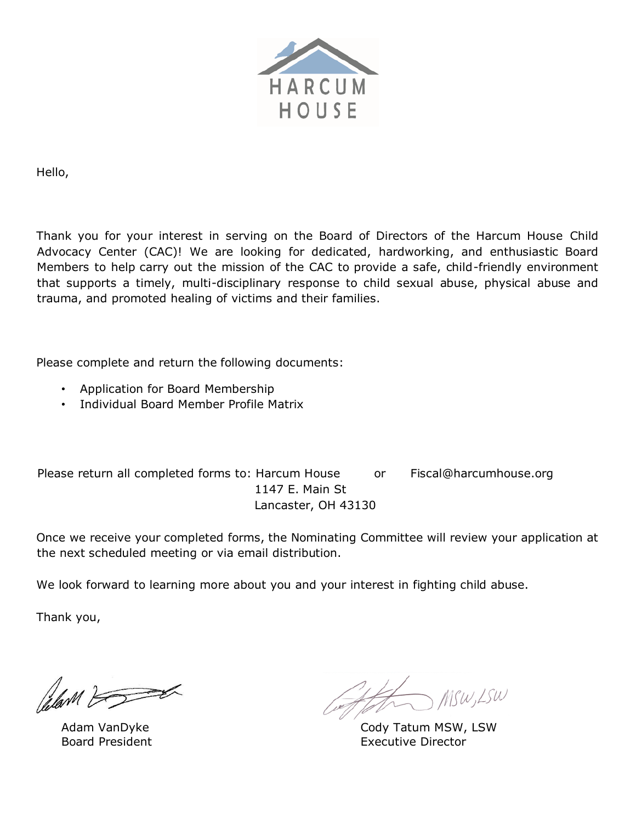

Hello,

Thank you for your interest in serving on the Board of Directors of the Harcum House Child Advocacy Center (CAC)! We are looking for dedicated, hardworking, and enthusiastic Board Members to help carry out the mission of the CAC to provide a safe, child-friendly environment that supports a timely, multi-disciplinary response to child sexual abuse, physical abuse and trauma, and promoted healing of victims and their families.

Please complete and return the following documents:

- Application for Board Membership
- Individual Board Member Profile Matrix

Please return all completed forms to: Harcum House or Fiscal@harcumhouse.org 1147 E. Main St Lancaster, OH 43130

Once we receive your completed forms, the Nominating Committee will review your application at the next scheduled meeting or via email distribution.

We look forward to learning more about you and your interest in fighting child abuse.

Thank you,

Plan F

Adam VanDyke Board President

MSW, LSW

Cody Tatum MSW, LSW Executive Director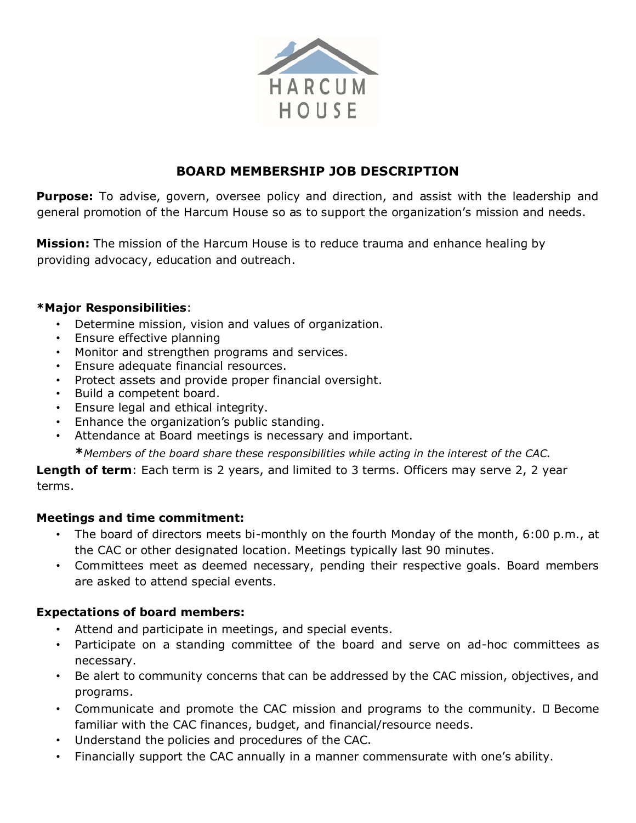

# **BOARD MEMBERSHIP JOB DESCRIPTION**

**Purpose:** To advise, govern, oversee policy and direction, and assist with the leadership and general promotion of the Harcum House so as to support the organization's mission and needs.

**Mission:** The mission of the Harcum House is to reduce trauma and enhance healing by providing advocacy, education and outreach.

#### **\*Major Responsibilities**:

- Determine mission, vision and values of organization.
- Ensure effective planning
- Monitor and strengthen programs and services.
- Ensure adequate financial resources.
- Protect assets and provide proper financial oversight.
- Build a competent board.
- Ensure legal and ethical integrity.
- Enhance the organization's public standing.
- Attendance at Board meetings is necessary and important.

**\****Members of the board share these responsibilities while acting in the interest of the CAC.*

**Length of term**: Each term is 2 years, and limited to 3 terms. Officers may serve 2, 2 year terms.

### **Meetings and time commitment:**

- The board of directors meets bi-monthly on the fourth Monday of the month, 6:00 p.m., at the CAC or other designated location. Meetings typically last 90 minutes.
- Committees meet as deemed necessary, pending their respective goals. Board members are asked to attend special events.

### **Expectations of board members:**

- Attend and participate in meetings, and special events.
- Participate on a standing committee of the board and serve on ad-hoc committees as necessary.
- Be alert to community concerns that can be addressed by the CAC mission, objectives, and programs.
- Communicate and promote the CAC mission and programs to the community.  $\square$  Become familiar with the CAC finances, budget, and financial/resource needs.
- Understand the policies and procedures of the CAC.
- Financially support the CAC annually in a manner commensurate with one's ability.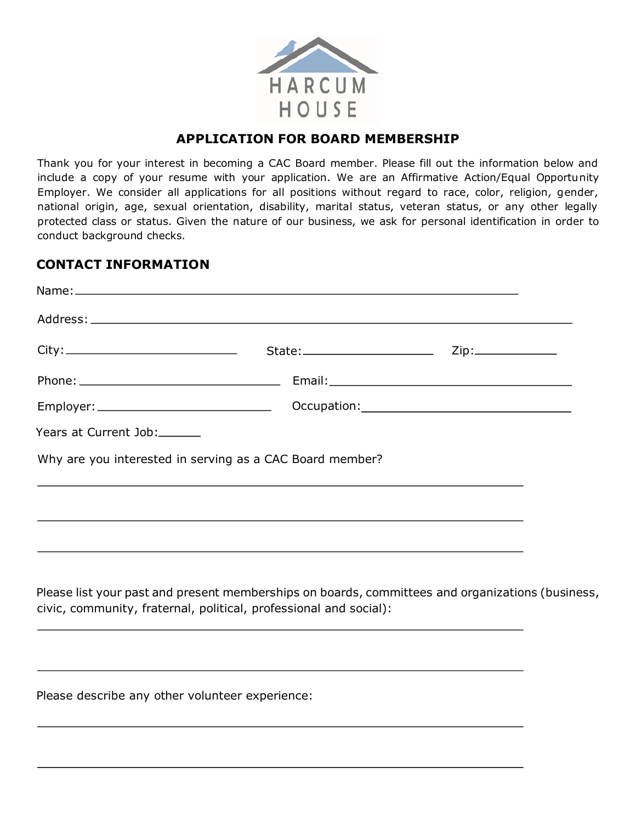

## **APPLICATION FOR BOARD MEMBERSHIP**

Thank you for your interest in becoming a CAC Board member. Please fill out the information below and include a copy of your resume with your application. We are an Affirmative Action/Equal Opportunity Employer. We consider all applications for all positions without regard to race, color, religion, gender, national origin, age, sexual orientation, disability, marital status, veteran status, or any other legally protected class or status. Given the nature of our business, we ask for personal identification in order to conduct background checks.

#### **CONTACT INFORMATION**

| Years at Current Job:                                             |                                                                                  |                                                                                                  |
|-------------------------------------------------------------------|----------------------------------------------------------------------------------|--------------------------------------------------------------------------------------------------|
| Why are you interested in serving as a CAC Board member?          |                                                                                  |                                                                                                  |
|                                                                   | ,我们也不会有什么。""我们的人,我们也不会有什么?""我们的人,我们也不会有什么?""我们的人,我们也不会有什么?""我们的人,我们也不会有什么?""我们的人 |                                                                                                  |
|                                                                   |                                                                                  |                                                                                                  |
|                                                                   |                                                                                  |                                                                                                  |
|                                                                   |                                                                                  |                                                                                                  |
| civic, community, fraternal, political, professional and social): |                                                                                  | Please list your past and present memberships on boards, committees and organizations (business, |
|                                                                   |                                                                                  |                                                                                                  |
|                                                                   |                                                                                  |                                                                                                  |
|                                                                   |                                                                                  |                                                                                                  |

Please describe any other volunteer experience: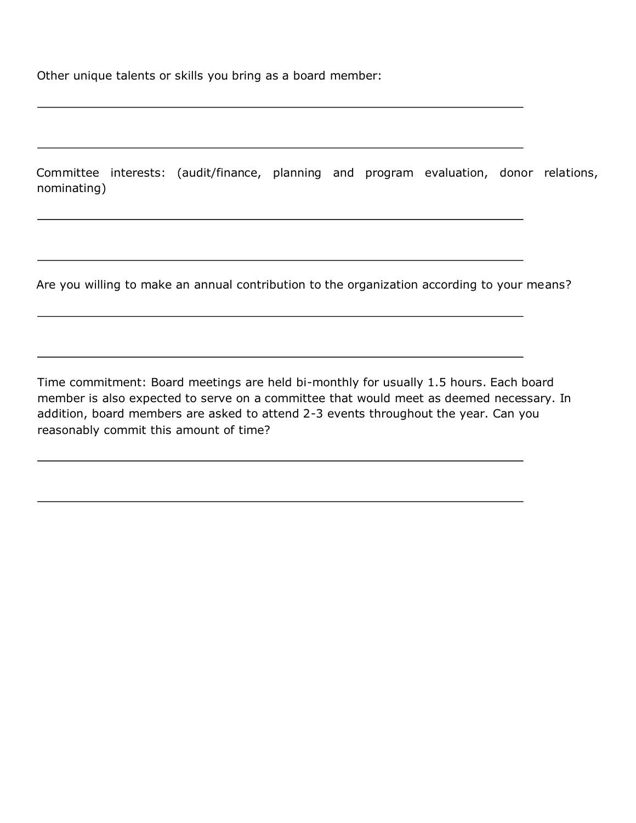Other unique talents or skills you bring as a board member:

Committee interests: (audit/finance, planning and program evaluation, donor relations, nominating)

Are you willing to make an annual contribution to the organization according to your means?

Time commitment: Board meetings are held bi-monthly for usually 1.5 hours. Each board member is also expected to serve on a committee that would meet as deemed necessary. In addition, board members are asked to attend 2-3 events throughout the year. Can you reasonably commit this amount of time?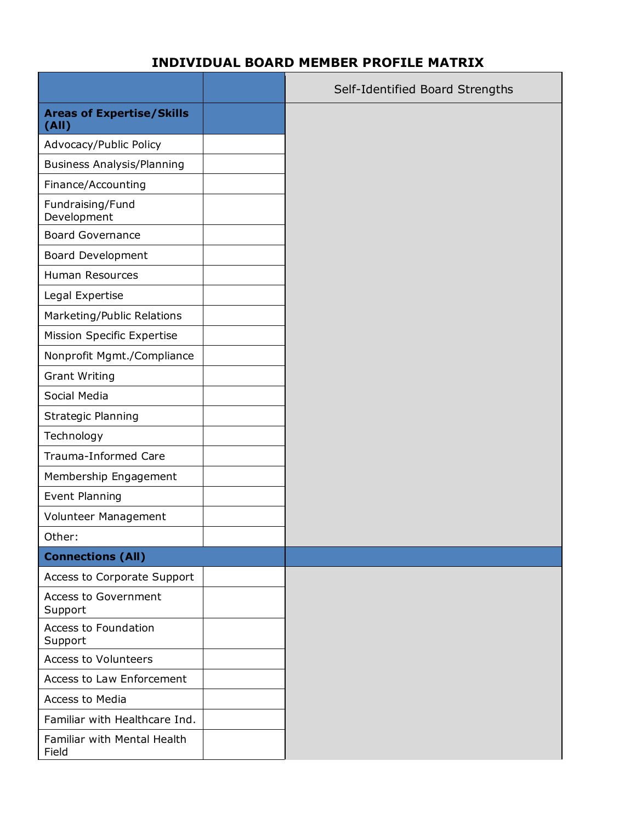# **INDIVIDUAL BOARD MEMBER PROFILE MATRIX**

|                                           | Self-Identified Board Strengths |
|-------------------------------------------|---------------------------------|
| <b>Areas of Expertise/Skills</b><br>(AII) |                                 |
| Advocacy/Public Policy                    |                                 |
| <b>Business Analysis/Planning</b>         |                                 |
| Finance/Accounting                        |                                 |
| Fundraising/Fund<br>Development           |                                 |
| <b>Board Governance</b>                   |                                 |
| <b>Board Development</b>                  |                                 |
| Human Resources                           |                                 |
| Legal Expertise                           |                                 |
| Marketing/Public Relations                |                                 |
| <b>Mission Specific Expertise</b>         |                                 |
| Nonprofit Mgmt./Compliance                |                                 |
| <b>Grant Writing</b>                      |                                 |
| Social Media                              |                                 |
| <b>Strategic Planning</b>                 |                                 |
| Technology                                |                                 |
| Trauma-Informed Care                      |                                 |
| Membership Engagement                     |                                 |
| <b>Event Planning</b>                     |                                 |
| Volunteer Management                      |                                 |
| Other:                                    |                                 |
| <b>Connections (All)</b>                  |                                 |
| Access to Corporate Support               |                                 |
| <b>Access to Government</b><br>Support    |                                 |
| Access to Foundation<br>Support           |                                 |
| <b>Access to Volunteers</b>               |                                 |
| Access to Law Enforcement                 |                                 |
| Access to Media                           |                                 |
| Familiar with Healthcare Ind.             |                                 |
| Familiar with Mental Health<br>Field      |                                 |